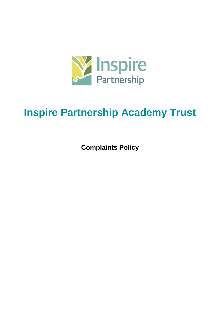

# **Inspire Partnership Academy Trust**

**Complaints Policy**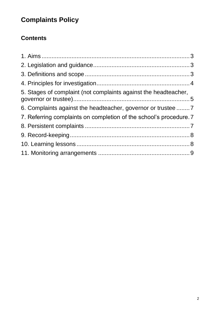## **Complaints Policy**

### **Contents**

| 5. Stages of complaint (not complaints against the headteacher,    |  |
|--------------------------------------------------------------------|--|
| 6. Complaints against the headteacher, governor or trustee         |  |
| 7. Referring complaints on completion of the school's procedure. 7 |  |
|                                                                    |  |
|                                                                    |  |
|                                                                    |  |
|                                                                    |  |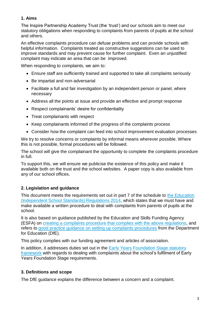#### **1. Aims**

The Inspire Partnership Academy Trust (the 'trust') and our schools aim to meet our statutory obligations when responding to complaints from parents of pupils at the school and others.

An effective complaints procedure can defuse problems and can provide schools with helpful information. Complaints treated as constructive suggestions can be used to improve standards and may prevent cause for further complaint. Even an unjustified complaint may indicate an area that can be improved.

When responding to complaints, we aim to:

- Ensure staff are sufficiently trained and supported to take all complaints seriously
- Be impartial and non-adversarial
- Facilitate a full and fair investigation by an independent person or panel, where necessary
- Address all the points at issue and provide an effective and prompt response
- Respect complainants' desire for confidentiality
- Treat complainants with respect
- Keep complainants informed of the progress of the complaints process
- Consider how the complaint can feed into school improvement evaluation processes

We try to resolve concerns or complaints by informal means wherever possible. Where this is not possible, formal procedures will be followed.

The school will give the complainant the opportunity to complete the complaints procedure in full.

To support this, we will ensure we publicise the existence of this policy and make it available both on the trust and the school websites. A paper copy is also available from any of our school offices.

#### **2. Legislation and guidance**

This document meets the requirements set out in part 7 of the schedule to the Education [\(Independent School Standards\) Regulations 2014,](http://www.legislation.gov.uk/uksi/2014/3283/schedule/made) which states that we must have and make available a written procedure to deal with complaints from parents of pupils at the school.

It is also based on guidance published by the Education and Skills Funding Agency (ESFA) on creating a complaints [procedure that complies with the above regulations,](https://www.gov.uk/government/publications/setting-up-an-academies-complaints-procedure) and refers to [good practice guidance on setting up complaints procedures](https://www.gov.uk/government/publications/school-complaints-procedures) from the Department for Education (DfE).

This policy complies with our funding agreement and articles of association.

In addition, it addresses duties set out in the Early Years Foundation Stage statutory [framework](https://www.gov.uk/government/uploads/system/uploads/attachment_data/file/596629/EYFS_STATUTORY_FRAMEWORK_2017.pdf) with regards to dealing with complaints about the school's fulfilment of Early Years Foundation Stage requirements.

#### **3. Definitions and scope**

The DfE guidance explains the difference between a concern and a complaint.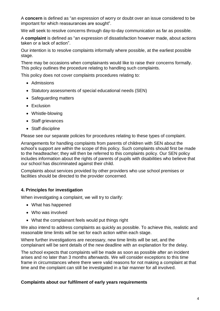A **concern** is defined as "an expression of worry or doubt over an issue considered to be important for which reassurances are sought".

We will seek to resolve concerns through day-to-day communication as far as possible.

A **complaint** is defined as "an expression of dissatisfaction however made, about actions taken or a lack of action".

Our intention is to resolve complaints informally where possible, at the earliest possible stage.

There may be occasions when complainants would like to raise their concerns formally. This policy outlines the procedure relating to handling such complaints.

This policy does not cover complaints procedures relating to:

- Admissions
- Statutory assessments of special educational needs (SEN)
- Safeguarding matters
- Exclusion
- Whistle-blowing
- Staff grievances
- Staff discipline

Please see our separate policies for procedures relating to these types of complaint.

Arrangements for handling complaints from parents of children with SEN about the school's support are within the scope of this policy. Such complaints should first be made to the headteacher; they will then be referred to this complaints policy. Our SEN policy includes information about the rights of parents of pupils with disabilities who believe that our school has discriminated against their child.

Complaints about services provided by other providers who use school premises or facilities should be directed to the provider concerned.

#### **4. Principles for investigation**

When investigating a complaint, we will try to clarify:

- What has happened
- Who was involved
- What the complainant feels would put things right

We also intend to address complaints as quickly as possible. To achieve this, realistic and reasonable time limits will be set for each action within each stage.

Where further investigations are necessary, new time limits will be set, and the complainant will be sent details of the new deadline with an explanation for the delay.

The school expects that complaints will be made as soon as possible after an incident arises and no later than 3 months afterwards. We will consider exceptions to this time frame in circumstances where there were valid reasons for not making a complaint at that time and the complaint can still be investigated in a fair manner for all involved.

#### **Complaints about our fulfilment of early years requirements**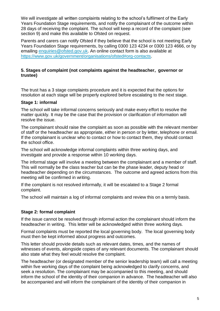We will investigate all written complaints relating to the school's fulfilment of the Early Years Foundation Stage requirements, and notify the complainant of the outcome within 28 days of receiving the complaint. The school will keep a record of the complaint (see section 9) and make this available to Ofsted on request.

Parents and carers can notify Ofsted if they believe that the school is not meeting Early Years Foundation Stage requirements, by calling 0300 123 4234 or 0300 123 4666, or by emailing [enquiries@ofsted.gov.uk.](mailto:enquiries@ofsted.gov.uk) An online contact form is also available at [https://www.gov.uk/government/organisations/ofsted#org-contacts.](https://www.gov.uk/government/organisations/ofsted#org-contacts)

#### **5. Stages of complaint (not complaints against the headteacher, governor or trustee)**

The trust has a 3 stage complaints procedure and it is expected that the options for resolution at each stage will be properly explored before escalating to the next stage.

#### **Stage 1: informal**

The school will take informal concerns seriously and make every effort to resolve the matter quickly. It may be the case that the provision or clarification of information will resolve the issue.

The complainant should raise the complaint as soon as possible with the relevant member of staff or the headteacher as appropriate, either in person or by letter, telephone or email. If the complainant is unclear who to contact or how to contact them, they should contact the school office.

The school will acknowledge informal complaints within three working days, and investigate and provide a response within 10 working days.

The informal stage will involve a meeting between the complainant and a member of staff. This will normally be the class teacher but can be the phase leader, deputy head or headteacher depending on the circumstances. The outcome and agreed actions from this meeting will be confirmed in writing.

If the complaint is not resolved informally, it will be escalated to a Stage 2 formal complaint.

The school will maintain a log of informal complaints and review this on a termly basis.

#### **Stage 2: formal complaint**

If the issue cannot be resolved through informal action the complainant should inform the headteacher in writing. This letter will be acknowledged within three working days.

Formal complaints must be reported the local governing body. The local governing body must then be kept informed about progress and outcomes.

This letter should provide details such as relevant dates, times, and the names of witnesses of events, alongside copies of any relevant documents. The complainant should also state what they feel would resolve the complaint.

The headteacher (or designated member of the senior leadership team) will call a meeting within five working days of the complaint being acknowledged to clarify concerns, and seek a resolution. The complainant may be accompanied to this meeting, and should inform the school of the identity of their companion in advance. The headteacher will also be accompanied and will inform the complainant of the identity of their companion in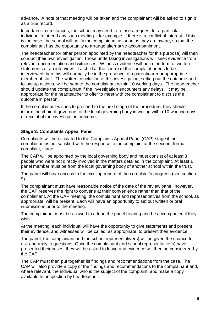advance. A note of that meeting will be taken and the complainant will be asked to sign it as a true record.

In certain circumstances, the school may need to refuse a request for a particular individual to attend any such meeting – for example, if there is a conflict of interest. If this is the case, the school will notify the complainant as soon as they are aware, so that the complainant has the opportunity to arrange alternative accompaniment.

The headteacher (or other person appointed by the headteacher for this purpose) will then conduct their own investigation. Those undertaking investigations will seek evidence from relevant documentation and witnesses. Witness evidence will be in the form of written statements or an interview. If a child at the centre of the complaint needs to be interviewed then this will normally be in the presence of a parent/carer or appropriate member of staff. The written conclusion of this investigation, setting out the outcome and follow-up actions, will be sent to the complainant within 10 working days. The headteacher should update the complainant if the investigation encounters any delays. It may be appropriate for the headteacher to offer to meet with the complainant to discuss the outcome in person.

If the complainant wishes to proceed to the next stage of the procedure, they should inform the chair of governors of the local governing body in writing within 10 working days of receipt of the investigation outcome.

#### **Stage 3: Complaints Appeal Panel**

Complaints will be escalated to the Complaints Appeal Panel (CAP) stage if the complainant is not satisfied with the response to the complaint at the second, formal complaint, stage.

The CAP will be appointed by the local governing body and must consist of at least 3 people who were not directly involved in the matters detailed in the complaint. At least 1 panel member must be from the local governing body of another school within the trust.

The panel will have access to the existing record of the complaint's progress (see section 9).

The complainant must have reasonable notice of the date of the review panel; however, the CAP reserves the right to convene at their convenience rather than that of the complainant. At the CAP meeting, the complainant and representatives from the school, as appropriate, will be present. Each will have an opportunity to set out written or oral submissions prior to the meeting.

The complainant must be allowed to attend the panel hearing and be accompanied if they wish.

At the meeting, each individual will have the opportunity to give statements and present their evidence, and witnesses will be called, as appropriate, to present their evidence.

The panel, the complainant and the school representative(s) will be given the chance to ask and reply to questions. Once the complainant and school representative(s) have presented their cases, they will be asked to leave and evidence will then be considered by the CAP.

The CAP must then put together its findings and recommendations from the case. The CAP will also provide a copy of the findings and recommendations to the complainant and, where relevant, the individual who is the subject of the complaint, and make a copy available for inspection by headteacher.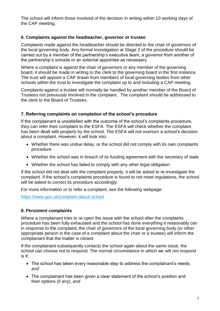The school will inform those involved of the decision in writing within 10 working days of the CAP meeting.

#### **6. Complaints against the headteacher, governor or trustee**

Complaints made against the headteacher should be directed to the chair of governors of the local governing body. Any formal investigation at Stage 2 of the procedure should be carried out by a member of the partnership's executive team, a governor from another of the partnership's schools or an external appointee as necessary.

Where a complaint is against the chair of governors or any member of the governing board, it should be made in writing to the clerk to the governing board in the first instance. The trust will appoint a CAP drawn from members of local governing bodies from other schools within the trust to investigate the complaint up to and including a CAP meeting.

Complaints against a trustee will normally be handled by another member of the Board of Trustees not previously involved in the complaint. The complaint should be addressed to the clerk to the Board of Trustees.

#### **7. Referring complaints on completion of the school's procedure**

If the complainant is unsatisfied with the outcome of the school's complaints procedure, they can refer their complaint to the ESFA. The ESFA will check whether the complaint has been dealt with properly by the school. The ESFA will not overturn a school's decision about a complaint. However, it will look into:

- Whether there was undue delay, or the school did not comply with its own complaints procedure
- Whether the school was in breach of its funding agreement with the secretary of state
- Whether the school has failed to comply with any other legal obligation

If the school did not deal with the complaint properly, it will be asked to re-investigate the complaint. If the school's complaints procedure is found to not meet regulations, the school will be asked to correct its procedure accordingly.

For more information or to refer a complaint, see the following webpage:

<https://www.gov.uk/complain-about-school>

#### **8. Persistent complaints**

Where a complainant tries to re-open the issue with the school after the complaints procedure has been fully exhausted and the school has done everything it reasonably can in response to the complaint, the chair of governors of the local governing body (or other appropriate person in the case of a complaint about the chair or a trustee) will inform the complainant that the matter is closed.

If the complainant subsequently contacts the school again about the same issue, the school can choose not to respond. The normal circumstance in which we will not respond is if:

- The school has taken every reasonable step to address the complainant's needs, *and*
- The complainant has been given a clear statement of the school's position and their options (if any), *and*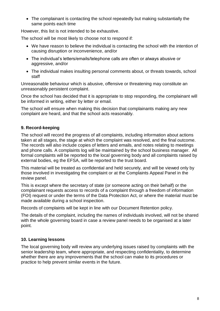• The complainant is contacting the school repeatedly but making substantially the same points each time

However, this list is not intended to be exhaustive.

The school will be most likely to choose not to respond if:

- We have reason to believe the individual is contacting the school with the intention of causing disruption or inconvenience, and/or
- The individual's letters/emails/telephone calls are often or always abusive or aggressive, and/or
- The individual makes insulting personal comments about, or threats towards, school staff

Unreasonable behaviour which is abusive, offensive or threatening may constitute an unreasonably persistent complaint.

Once the school has decided that it is appropriate to stop responding, the complainant will be informed in writing, either by letter or email.

The school will ensure when making this decision that complainants making any new complaint are heard, and that the school acts reasonably.

#### **9. Record-keeping**

The school will record the progress of all complaints, including information about actions taken at all stages, the stage at which the complaint was resolved, and the final outcome. The records will also include copies of letters and emails, and notes relating to meetings and phone calls. A complaints log will be maintained by the school business manager. All formal complaints will be reported to the local governing body and all complaints raised by external bodies, eg the EFSA, will be reported to the trust board.

This material will be treated as confidential and held securely, and will be viewed only by those involved in investigating the complaint or at the Complaints Appeal Panel in the review panel.

This is except where the secretary of state (or someone acting on their behalf) or the complainant requests access to records of a complaint through a freedom of information (FOI) request or under the terms of the Data Protection Act, or where the material must be made available during a school inspection.

Records of complaints will be kept in line with our Document Retention policy.

The details of the complaint, including the names of individuals involved, will not be shared with the whole governing board in case a review panel needs to be organised at a later point.

#### **10. Learning lessons**

The local governing body will review any underlying issues raised by complaints with the senior leadership team, where appropriate, and respecting confidentiality, to determine whether there are any improvements that the school can make to its procedures or practice to help prevent similar events in the future.